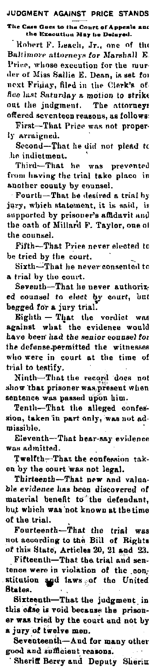JUDGMENT AGAINST PRICE STANDS The Case Goes to the Court of Appeals and the Execution May be Delayed.

Kohert F. Leach, Jr., one of the<br>Baltimore attorneys for Marshall E. Price, whose execution for the murder of Miss Sallie E. Dean, is set for next Friday, filed in the Clerk's office last Saturday a motion to strike out the judgment. The attorneys offered seventeen reasous, as follows: First-That Price was not properly arraigned.

Second-That he did not plead to he indictment.

Third-That he was prevented from having the trial take place in another county by counsel.

Fourth-That he desired a trial by jury, which statement, it is said, is supported by prisoner's affidavit and the oath of Millard F. Taylor, one of the counsel.

Fifth-That Price never elected to be tried by the court.

Sixth-That he never consented to a trial by the court.

Seventh-That he never authorized counsel to elect by court, but begged for a jury trial.

Eighth - That the verdict was against what the evidence would have been had the senior counsel for the defense-permitted the witnesses who were in court at the time of trial to testify.

Ninth-That the record does not show that prisoner was present when sentence was passed upon him.

Tenth-That the alleged confession, taken in part only, was not admissible.

Eleventh-That hear-say evidence was admitted.

Twelfth-That the confession taken by the court was not legal.

Thirteenth-That new and valuable evidence has been discovered of material benefit to the defendant, but which was not known at the time of the trial.

Fourteenth-That the trial was not according to the Bill of Rights of this State, Articles 20, 21 and 23.

Fifteenth-That the trial and sentence were in violation of the constitution and laws of the United **Blates.** 

Sixteenth-That the judgment in this case is void because the prisoner was tried by the court and not by a jury of twelve men.

Seventeenth-And for many other good and sufficient reasons.

Sheriff Berry and Deputy Sherin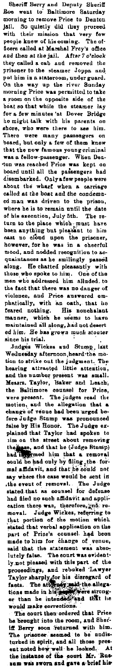Sheriff Berry and Deputy Sheriff Boo went to Baltimore Saturday<br>morning to remove Price to Denton<br>Jail. So quietly did they proceed<br>jail. So quietly did they proceed<br>with their mission that very few<br>expept knew of this co state that the plant. Arter 's crosses the plant of the plant and removed the prisoner to the stanar Joppa and on the moved the prisoner to the stanar Joppa and on the moved the boost so that while the stanar lange in morn manner, which are seems to move<br>maintained all along, had not desert<br>ed him. He has grown much stouter<br>since his trial.<br>Judges Wickes and Stump, last

eu nun. He has grown much stouter<br>inne his trail.<br>Indiges Wickes and Stump, last<br>Indiges Wickes and Stump, last<br>Wednesday afternoon heard the mo-<br>to-strike out the judgement. The<br>hearing attracted little attention,<br>and the extion there was, therefore, who received that principal that portion of the motion which that the thermal explicit that we had the theory of the motion of the motion of the motion of the motion of the state of the state o stated that verbal application on the<br>part of Prios's counsel had been<br>made to impute a said that the determination of the same<br>said that the statement was absorted by another than the state of the<br>proceedings, and rebuked

The court then ordered that Price<br>be brought into the room, and Sher's Herry soon featured with him.<br>The prisoner seemed to be undisturbed in spirit, and all those present<br>ent noted how well the looked. At the initiation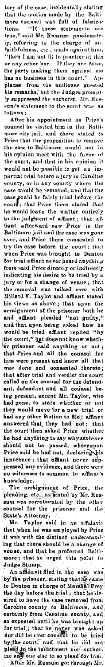tory of the case, incidentally stating<br>that the motion made by the Balti-<br>more counsel was full of fabrica-<br>tions. "If these statements are more courser was zen to the statements are<br>tions. "If these statements are<br>true," and Mr. Russam, passionate-<br>by, referving to the charge of un-<br>faithfulness, e.e., made against inin,<br>"then I am not fit to practice at thi nas no business in this court. Ap-<br>planse from the audience greeted<br>his remarks, but the Judges prompt-<br>ly suppressed, the outburst. Mr. Rus-<br>sun's statement to the court was as<br>follows:

rollows :<br> **After his appointment as Price's**<br> **counsel he visited him in the Balti-**<br>
more city jail, and there stated to more city jail, and there stated to<br>Price that the proposition to remove<br>the case to Baltimore would not in<br>this opinion meet with the favor of<br>the court, and that in his opinion it<br>would not be possible to get an in-<br>part ease would be removed, and that the<br>case would be fairly tried betwe the<br>coarry that Price there stated that<br>he coarry that Price there stated that<br>to the yould leave the unatter entriesty<br>found that a fill and the case wa

pressed any evidence, and there were<br>no with<br>eases to summon to affinint's<br>knowledge.<br>The arrkignment of Price, the<br>plancing, etc., as same in the considerably in the sum<br>sum was corrolorated by the following terms of the